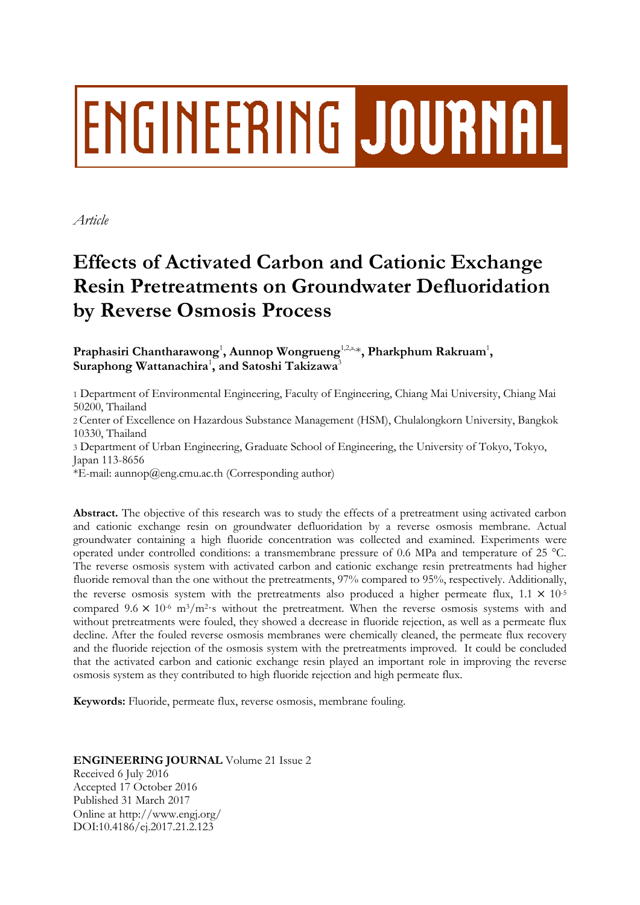# **ENGINEERING JOURNAL**

*Article*

# **Effects of Activated Carbon and Cationic Exchange Resin Pretreatments on Groundwater Defluoridation by Reverse Osmosis Process**

Praphasiri Chantharawong<sup>1</sup>, Aunnop Wongrueng<sup>1,2,a,</sup>\*, Pharkphum Rakruam<sup>1</sup>, **Suraphong Wattanachira**<sup>1</sup> **, and Satoshi Takizawa**<sup>3</sup>

1 Department of Environmental Engineering, Faculty of Engineering, Chiang Mai University, Chiang Mai 50200, Thailand

2 Center of Excellence on Hazardous Substance Management (HSM), Chulalongkorn University, Bangkok 10330, Thailand

3 Department of Urban Engineering, Graduate School of Engineering, the University of Tokyo, Tokyo, Japan 113-8656

\*E-mail: aunnop@eng.cmu.ac.th (Corresponding author)

**Abstract.** The objective of this research was to study the effects of a pretreatment using activated carbon and cationic exchange resin on groundwater defluoridation by a reverse osmosis membrane. Actual groundwater containing a high fluoride concentration was collected and examined. Experiments were operated under controlled conditions: a transmembrane pressure of 0.6 MPa and temperature of 25 °C. The reverse osmosis system with activated carbon and cationic exchange resin pretreatments had higher fluoride removal than the one without the pretreatments, 97% compared to 95%, respectively. Additionally, the reverse osmosis system with the pretreatments also produced a higher permeate flux,  $1.1 \times 10^{-5}$ compared  $9.6 \times 10^{-6}$  m<sup>3</sup>/m<sup>2</sup>·s without the pretreatment. When the reverse osmosis systems with and without pretreatments were fouled, they showed a decrease in fluoride rejection, as well as a permeate flux decline. After the fouled reverse osmosis membranes were chemically cleaned, the permeate flux recovery and the fluoride rejection of the osmosis system with the pretreatments improved. It could be concluded that the activated carbon and cationic exchange resin played an important role in improving the reverse osmosis system as they contributed to high fluoride rejection and high permeate flux.

**Keywords:** Fluoride, permeate flux, reverse osmosis, membrane fouling.

# **ENGINEERING JOURNAL** Volume 21 Issue 2 Received 6 July 2016

Accepted 17 October 2016 Published 31 March 2017 Online at http://www.engj.org/ DOI:10.4186/ej.2017.21.2.123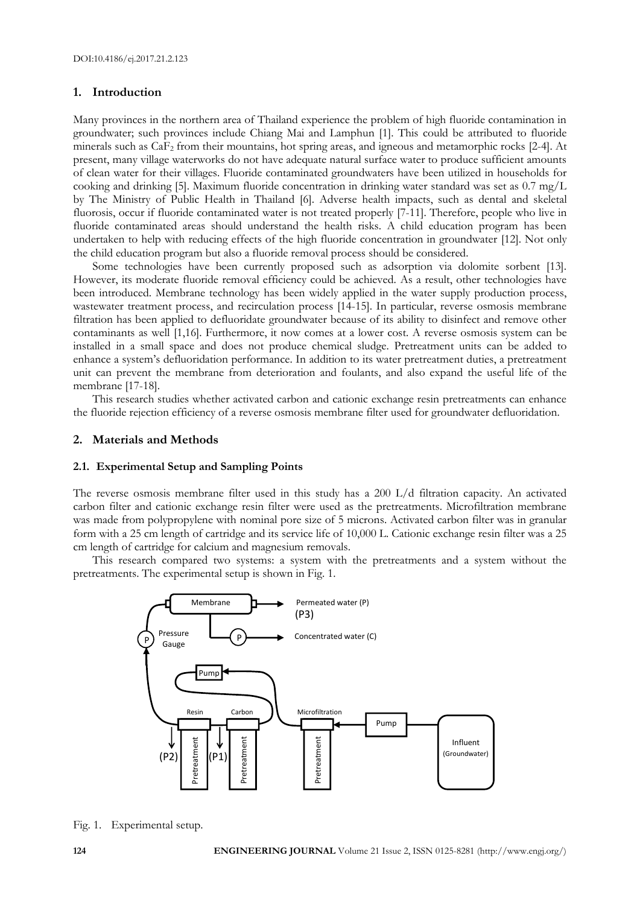# **1. Introduction**

Many provinces in the northern area of Thailand experience the problem of high fluoride contamination in groundwater; such provinces include Chiang Mai and Lamphun [1]. This could be attributed to fluoride minerals such as CaF<sup>2</sup> from their mountains, hot spring areas, and igneous and metamorphic rocks [2-4]. At present, many village waterworks do not have adequate natural surface water to produce sufficient amounts of clean water for their villages. Fluoride contaminated groundwaters have been utilized in households for cooking and drinking [5]. Maximum fluoride concentration in drinking water standard was set as 0.7 mg/L by The Ministry of Public Health in Thailand [6]. Adverse health impacts, such as dental and skeletal fluorosis, occur if fluoride contaminated water is not treated properly [7-11]. Therefore, people who live in fluoride contaminated areas should understand the health risks. A child education program has been undertaken to help with reducing effects of the high fluoride concentration in groundwater [12]. Not only the child education program but also a fluoride removal process should be considered.

Some technologies have been currently proposed such as adsorption via dolomite sorbent [13]. However, its moderate fluoride removal efficiency could be achieved. As a result, other technologies have been introduced. Membrane technology has been widely applied in the water supply production process, wastewater treatment process, and recirculation process [14-15]. In particular, reverse osmosis membrane filtration has been applied to defluoridate groundwater because of its ability to disinfect and remove other contaminants as well [1,16]. Furthermore, it now comes at a lower cost. A reverse osmosis system can be installed in a small space and does not produce chemical sludge. Pretreatment units can be added to enhance a system's defluoridation performance. In addition to its water pretreatment duties, a pretreatment unit can prevent the membrane from deterioration and foulants, and also expand the useful life of the membrane [17-18].

This research studies whether activated carbon and cationic exchange resin pretreatments can enhance the fluoride rejection efficiency of a reverse osmosis membrane filter used for groundwater defluoridation.

### **2. Materials and Methods**

#### **2.1. Experimental Setup and Sampling Points**

The reverse osmosis membrane filter used in this study has a 200 L/d filtration capacity. An activated carbon filter and cationic exchange resin filter were used as the pretreatments. Microfiltration membrane was made from polypropylene with nominal pore size of 5 microns. Activated carbon filter was in granular form with a 25 cm length of cartridge and its service life of 10,000 L. Cationic exchange resin filter was a 25 cm length of cartridge for calcium and magnesium removals.

This research compared two systems: a system with the pretreatments and a system without the pretreatments. The experimental setup is shown in Fig. 1.



Fig. 1. Experimental setup.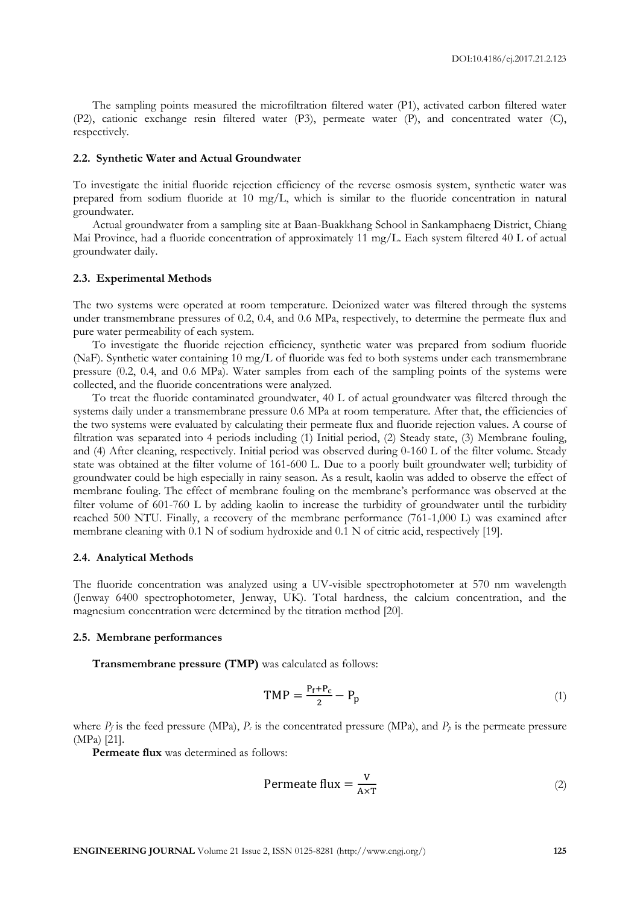The sampling points measured the microfiltration filtered water (P1), activated carbon filtered water (P2), cationic exchange resin filtered water (P3), permeate water (P), and concentrated water (C), respectively.

#### **2.2. Synthetic Water and Actual Groundwater**

To investigate the initial fluoride rejection efficiency of the reverse osmosis system, synthetic water was prepared from sodium fluoride at 10 mg/L, which is similar to the fluoride concentration in natural groundwater.

Actual groundwater from a sampling site at Baan-Buakkhang School in Sankamphaeng District, Chiang Mai Province, had a fluoride concentration of approximately 11 mg/L. Each system filtered 40 L of actual groundwater daily.

### **2.3. Experimental Methods**

The two systems were operated at room temperature. Deionized water was filtered through the systems under transmembrane pressures of 0.2, 0.4, and 0.6 MPa, respectively, to determine the permeate flux and pure water permeability of each system.

To investigate the fluoride rejection efficiency, synthetic water was prepared from sodium fluoride (NaF). Synthetic water containing 10 mg/L of fluoride was fed to both systems under each transmembrane pressure (0.2, 0.4, and 0.6 MPa). Water samples from each of the sampling points of the systems were collected, and the fluoride concentrations were analyzed.

To treat the fluoride contaminated groundwater, 40 L of actual groundwater was filtered through the systems daily under a transmembrane pressure 0.6 MPa at room temperature. After that, the efficiencies of the two systems were evaluated by calculating their permeate flux and fluoride rejection values. A course of filtration was separated into 4 periods including (1) Initial period, (2) Steady state, (3) Membrane fouling, and (4) After cleaning, respectively. Initial period was observed during 0-160 L of the filter volume. Steady state was obtained at the filter volume of 161-600 L. Due to a poorly built groundwater well; turbidity of groundwater could be high especially in rainy season. As a result, kaolin was added to observe the effect of membrane fouling. The effect of membrane fouling on the membrane's performance was observed at the filter volume of 601-760 L by adding kaolin to increase the turbidity of groundwater until the turbidity reached 500 NTU. Finally, a recovery of the membrane performance (761-1,000 L) was examined after membrane cleaning with 0.1 N of sodium hydroxide and 0.1 N of citric acid, respectively [19].

#### **2.4. Analytical Methods**

The fluoride concentration was analyzed using a UV-visible spectrophotometer at 570 nm wavelength (Jenway 6400 spectrophotometer, Jenway, UK). Total hardness, the calcium concentration, and the magnesium concentration were determined by the titration method [20].

#### **2.5. Membrane performances**

**Transmembrane pressure (TMP)** was calculated as follows:

$$
TMP = \frac{P_f + P_c}{2} - P_p \tag{1}
$$

where  $P_f$  is the feed pressure (MPa),  $P_c$  is the concentrated pressure (MPa), and  $P_p$  is the permeate pressure (MPa) [21].

**Permeate flux** was determined as follows:

$$
Permeate flux = \frac{v}{A \times T}
$$
 (2)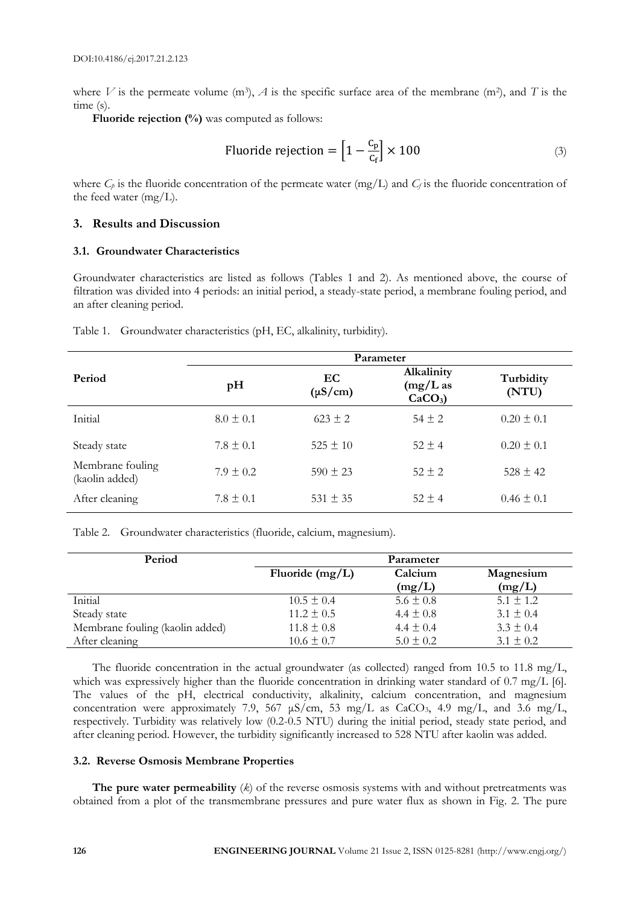where V is the permeate volume  $(m^3)$ , A is the specific surface area of the membrane  $(m^2)$ , and T is the time (s).

**Fluoride rejection (%)** was computed as follows:

Fluoride rejection = 
$$
\left[1 - \frac{C_p}{C_f}\right] \times 100
$$
 (3)

where  $C_p$  is the fluoride concentration of the permeate water (mg/L) and  $C_f$  is the fluoride concentration of the feed water (mg/L).

# **3. Results and Discussion**

# **3.1. Groundwater Characteristics**

Groundwater characteristics are listed as follows (Tables 1 and 2). As mentioned above, the course of filtration was divided into 4 periods: an initial period, a steady-state period, a membrane fouling period, and an after cleaning period.

|                                    | Parameter     |                    |                                        |                    |  |
|------------------------------------|---------------|--------------------|----------------------------------------|--------------------|--|
| Period                             | pH            | EC<br>$(\mu S/cm)$ | Alkalinity<br>$(mg/L)$ as<br>$CaCO3$ ) | Turbidity<br>(NTU) |  |
| Initial                            | $8.0 \pm 0.1$ | $623 \pm 2$        | $54 \pm 2$                             | $0.20 \pm 0.1$     |  |
| Steady state                       | $7.8 \pm 0.1$ | $525 \pm 10$       | $52 \pm 4$                             | $0.20 \pm 0.1$     |  |
| Membrane fouling<br>(kaolin added) | $7.9 \pm 0.2$ | $590 \pm 23$       | $52 \pm 2$                             | $528 \pm 42$       |  |
| After cleaning                     | $7.8 \pm 0.1$ | $531 \pm 35$       | $52 \pm 4$                             | $0.46 \pm 0.1$     |  |

Table 1. Groundwater characteristics (pH, EC, alkalinity, turbidity).

Table 2. Groundwater characteristics (fluoride, calcium, magnesium).

| Period                          | Parameter         |               |               |  |
|---------------------------------|-------------------|---------------|---------------|--|
|                                 | Fluoride $(mg/L)$ | Calcium       | Magnesium     |  |
|                                 |                   | (mg/L)        | (mg/L)        |  |
| Initial                         | $10.5 \pm 0.4$    | $5.6 \pm 0.8$ | $5.1 \pm 1.2$ |  |
| Steady state                    | $11.2 \pm 0.5$    | $4.4 \pm 0.8$ | $3.1 \pm 0.4$ |  |
| Membrane fouling (kaolin added) | $11.8 \pm 0.8$    | $4.4 \pm 0.4$ | $3.3 \pm 0.4$ |  |
| After cleaning                  | $10.6 \pm 0.7$    | $5.0 \pm 0.2$ | $3.1 \pm 0.2$ |  |

The fluoride concentration in the actual groundwater (as collected) ranged from 10.5 to 11.8 mg/L, which was expressively higher than the fluoride concentration in drinking water standard of 0.7 mg/L [6]. The values of the pH, electrical conductivity, alkalinity, calcium concentration, and magnesium concentration were approximately 7.9, 567  $\mu$ S/cm, 53 mg/L as CaCO<sub>3</sub>, 4.9 mg/L, and 3.6 mg/L, respectively. Turbidity was relatively low (0.2-0.5 NTU) during the initial period, steady state period, and after cleaning period. However, the turbidity significantly increased to 528 NTU after kaolin was added.

# **3.2. Reverse Osmosis Membrane Properties**

**The pure water permeability** (*k*) of the reverse osmosis systems with and without pretreatments was obtained from a plot of the transmembrane pressures and pure water flux as shown in Fig. 2. The pure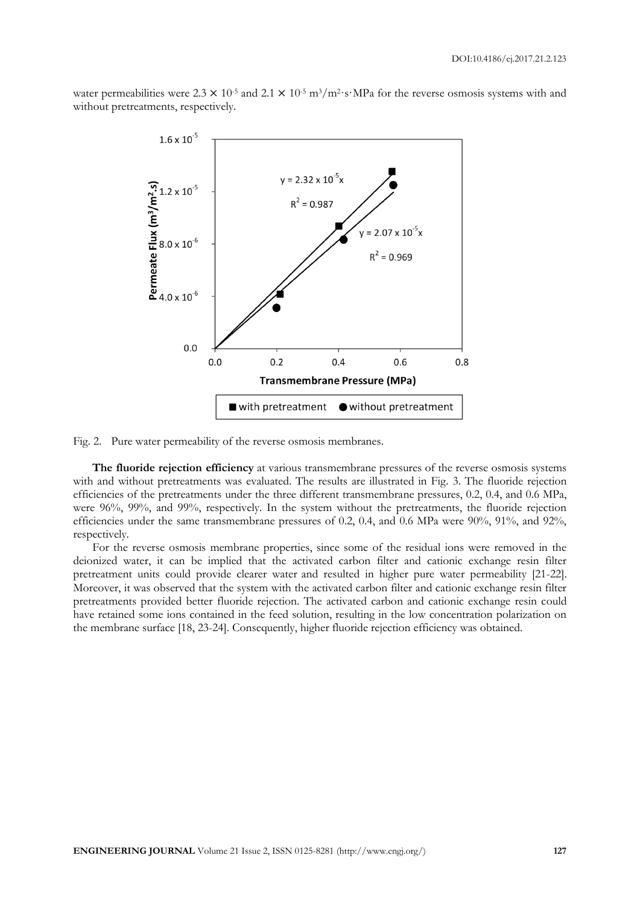water permeabilities were  $2.3 \times 10^{-5}$  and  $2.1 \times 10^{-5}$  m<sup>3</sup>/m<sup>2</sup>·s·MPa for the reverse osmosis systems with and without pretreatments, respectively.



Fig. 2. Pure water permeability of the reverse osmosis membranes.

**The fluoride rejection efficiency** at various transmembrane pressures of the reverse osmosis systems with and without pretreatments was evaluated. The results are illustrated in Fig. 3. The fluoride rejection efficiencies of the pretreatments under the three different transmembrane pressures, 0.2, 0.4, and 0.6 MPa, were 96%, 99%, and 99%, respectively. In the system without the pretreatments, the fluoride rejection efficiencies under the same transmembrane pressures of 0.2, 0.4, and 0.6 MPa were 90%, 91%, and 92%, respectively.

For the reverse osmosis membrane properties, since some of the residual ions were removed in the deionized water, it can be implied that the activated carbon filter and cationic exchange resin filter pretreatment units could provide clearer water and resulted in higher pure water permeability [21-22]. Moreover, it was observed that the system with the activated carbon filter and cationic exchange resin filter pretreatments provided better fluoride rejection. The activated carbon and cationic exchange resin could have retained some ions contained in the feed solution, resulting in the low concentration polarization on the membrane surface [18, 23-24]. Consequently, higher fluoride rejection efficiency was obtained.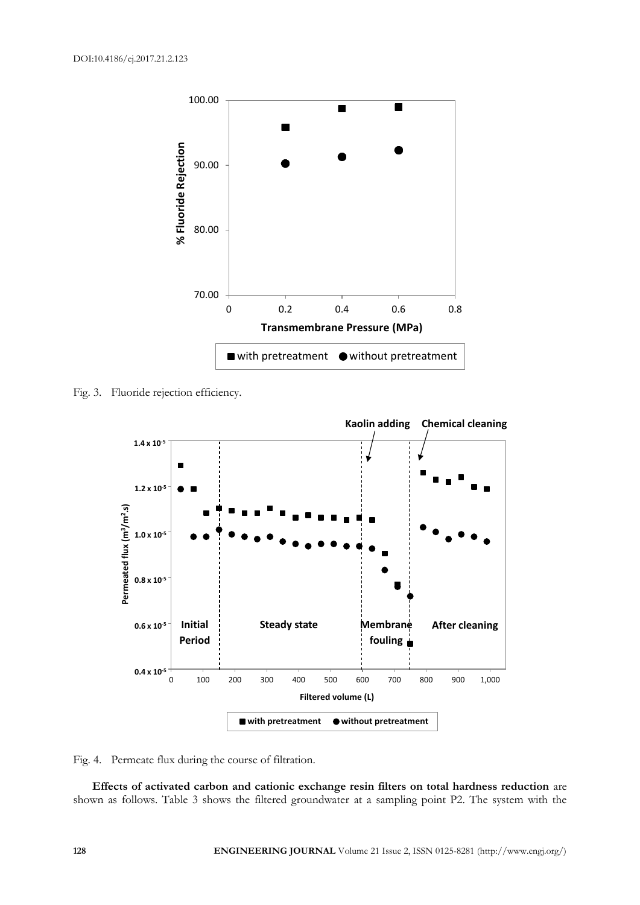

Fig. 3. Fluoride rejection efficiency.



Fig. 4. Permeate flux during the course of filtration.

**Effects of activated carbon and cationic exchange resin filters on total hardness reduction** are shown as follows. Table 3 shows the filtered groundwater at a sampling point P2. The system with the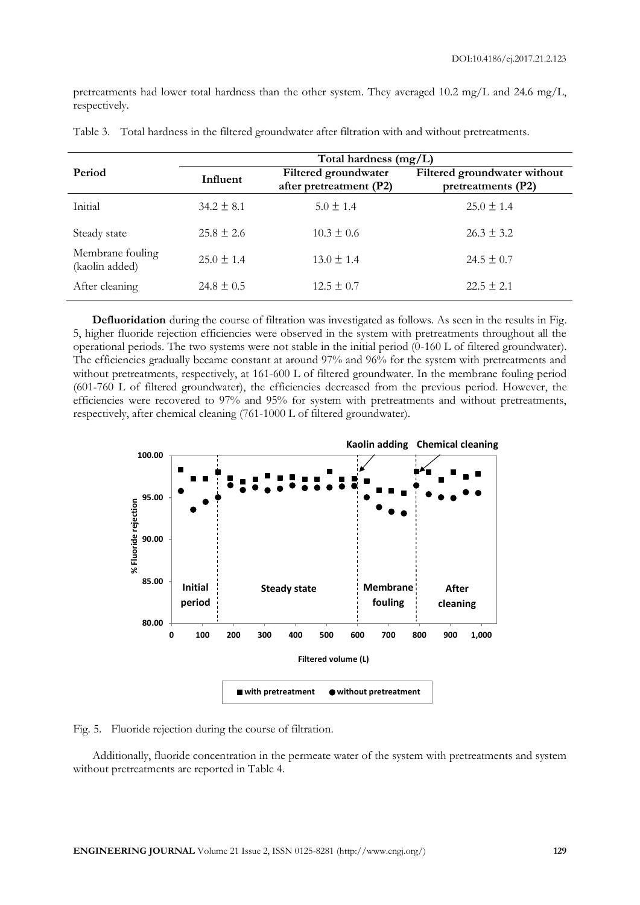pretreatments had lower total hardness than the other system. They averaged  $10.2$  mg/L and  $24.6$  mg/L, respectively.

|                                    | Total hardness (mg/L)                                       |                |                                                    |  |
|------------------------------------|-------------------------------------------------------------|----------------|----------------------------------------------------|--|
| Period                             | Filtered groundwater<br>Influent<br>after pretreatment (P2) |                | Filtered groundwater without<br>pretreatments (P2) |  |
| Initial                            | $34.2 \pm 8.1$                                              | $5.0 \pm 1.4$  | $25.0 \pm 1.4$                                     |  |
| Steady state                       | $25.8 \pm 2.6$                                              | $10.3 \pm 0.6$ | $26.3 \pm 3.2$                                     |  |
| Membrane fouling<br>(kaolin added) | $25.0 \pm 1.4$                                              | $13.0 \pm 1.4$ | $24.5 \pm 0.7$                                     |  |
| After cleaning                     | $24.8 \pm 0.5$                                              | $12.5 \pm 0.7$ | $22.5 \pm 2.1$                                     |  |

Table 3. Total hardness in the filtered groundwater after filtration with and without pretreatments.

**Defluoridation** during the course of filtration was investigated as follows. As seen in the results in Fig. 5, higher fluoride rejection efficiencies were observed in the system with pretreatments throughout all the operational periods. The two systems were not stable in the initial period (0-160 L of filtered groundwater). The efficiencies gradually became constant at around 97% and 96% for the system with pretreatments and without pretreatments, respectively, at 161-600 L of filtered groundwater. In the membrane fouling period (601-760 L of filtered groundwater), the efficiencies decreased from the previous period. However, the efficiencies were recovered to 97% and 95% for system with pretreatments and without pretreatments, respectively, after chemical cleaning (761-1000 L of filtered groundwater).



Fig. 5. Fluoride rejection during the course of filtration.

Additionally, fluoride concentration in the permeate water of the system with pretreatments and system without pretreatments are reported in Table 4.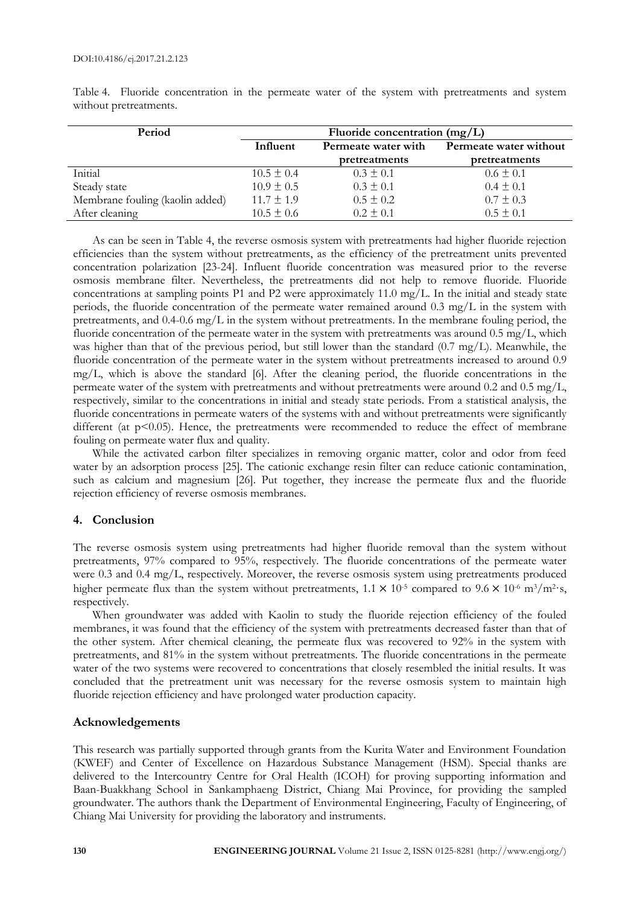| Period                          | Fluoride concentration $(mg/L)$ |                     |                        |
|---------------------------------|---------------------------------|---------------------|------------------------|
|                                 | Influent                        | Permeate water with | Permeate water without |
|                                 |                                 | pretreatments       | pretreatments          |
| Initial                         | $10.5 \pm 0.4$                  | $0.3 \pm 0.1$       | $0.6 \pm 0.1$          |
| Steady state                    | $10.9 \pm 0.5$                  | $0.3 \pm 0.1$       | $0.4 \pm 0.1$          |
| Membrane fouling (kaolin added) | $11.7 \pm 1.9$                  | $0.5 \pm 0.2$       | $0.7 \pm 0.3$          |
| After cleaning                  | $10.5 \pm 0.6$                  | $0.2 \pm 0.1$       | $0.5 \pm 0.1$          |

Table 4. Fluoride concentration in the permeate water of the system with pretreatments and system without pretreatments.

As can be seen in Table 4, the reverse osmosis system with pretreatments had higher fluoride rejection efficiencies than the system without pretreatments, as the efficiency of the pretreatment units prevented concentration polarization [23-24]. Influent fluoride concentration was measured prior to the reverse osmosis membrane filter. Nevertheless, the pretreatments did not help to remove fluoride. Fluoride concentrations at sampling points P1 and P2 were approximately 11.0 mg/L. In the initial and steady state periods, the fluoride concentration of the permeate water remained around 0.3 mg/L in the system with pretreatments, and 0.4-0.6 mg/L in the system without pretreatments. In the membrane fouling period, the fluoride concentration of the permeate water in the system with pretreatments was around 0.5 mg/L, which was higher than that of the previous period, but still lower than the standard (0.7 mg/L). Meanwhile, the fluoride concentration of the permeate water in the system without pretreatments increased to around 0.9 mg/L, which is above the standard [6]. After the cleaning period, the fluoride concentrations in the permeate water of the system with pretreatments and without pretreatments were around 0.2 and 0.5 mg/L, respectively, similar to the concentrations in initial and steady state periods. From a statistical analysis, the fluoride concentrations in permeate waters of the systems with and without pretreatments were significantly different (at p<0.05). Hence, the pretreatments were recommended to reduce the effect of membrane fouling on permeate water flux and quality.

While the activated carbon filter specializes in removing organic matter, color and odor from feed water by an adsorption process [25]. The cationic exchange resin filter can reduce cationic contamination, such as calcium and magnesium [26]. Put together, they increase the permeate flux and the fluoride rejection efficiency of reverse osmosis membranes.

# **4. Conclusion**

The reverse osmosis system using pretreatments had higher fluoride removal than the system without pretreatments, 97% compared to 95%, respectively. The fluoride concentrations of the permeate water were 0.3 and 0.4 mg/L, respectively. Moreover, the reverse osmosis system using pretreatments produced higher permeate flux than the system without pretreatments,  $1.1 \times 10^{-5}$  compared to  $9.6 \times 10^{-6}$  m<sup>3</sup>/m<sup>2</sup>·s, respectively.

When groundwater was added with Kaolin to study the fluoride rejection efficiency of the fouled membranes, it was found that the efficiency of the system with pretreatments decreased faster than that of the other system. After chemical cleaning, the permeate flux was recovered to 92% in the system with pretreatments, and 81% in the system without pretreatments. The fluoride concentrations in the permeate water of the two systems were recovered to concentrations that closely resembled the initial results. It was concluded that the pretreatment unit was necessary for the reverse osmosis system to maintain high fluoride rejection efficiency and have prolonged water production capacity.

# **Acknowledgements**

This research was partially supported through grants from the Kurita Water and Environment Foundation (KWEF) and Center of Excellence on Hazardous Substance Management (HSM). Special thanks are delivered to the Intercountry Centre for Oral Health (ICOH) for proving supporting information and Baan-Buakkhang School in Sankamphaeng District, Chiang Mai Province, for providing the sampled groundwater. The authors thank the Department of Environmental Engineering, Faculty of Engineering, of Chiang Mai University for providing the laboratory and instruments.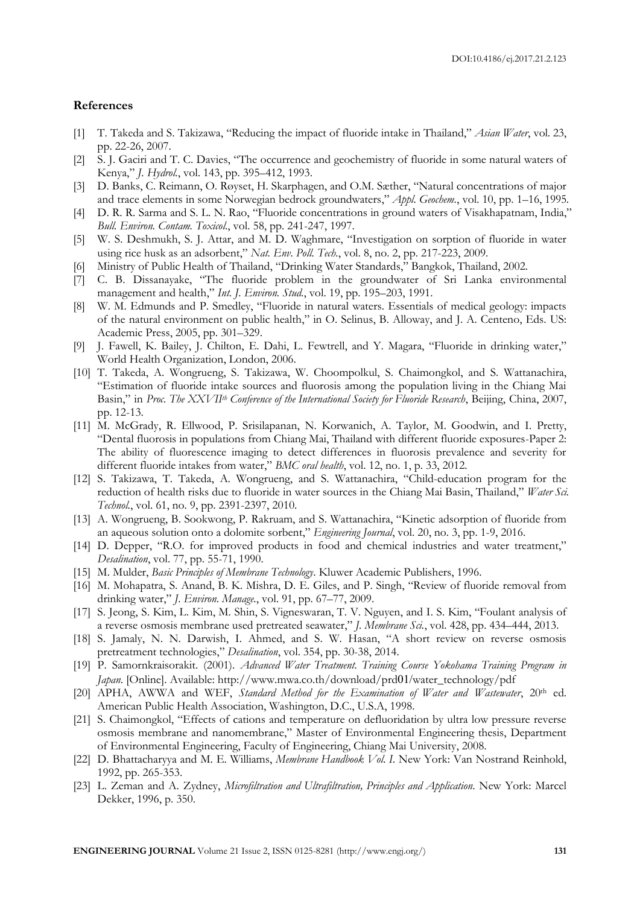# **References**

- [1] T. Takeda and S. Takizawa, "Reducing the impact of fluoride intake in Thailand," *Asian Water*, vol. 23, pp. 22-26, 2007.
- [2] S. J. Gaciri and T. C. Davies, "The occurrence and geochemistry of fluoride in some natural waters of Kenya," *J. Hydrol.*, vol. 143, pp. 395–412, 1993.
- [3] D. Banks, C. Reimann, O. Røyset, H. Skarphagen, and O.M. Sæther, "Natural concentrations of major and trace elements in some Norwegian bedrock groundwaters," *Appl. Geochem.*, vol. 10, pp. 1–16, 1995.
- [4] D. R. R. Sarma and S. L. N. Rao, "Fluoride concentrations in ground waters of Visakhapatnam, India," *Bull. Environ. Contam. Toxicol.*, vol. 58, pp. 241-247, 1997.
- [5] W. S. Deshmukh, S. J. Attar, and M. D. Waghmare, "Investigation on sorption of fluoride in water using rice husk as an adsorbent," *Nat. Env. Poll. Tech.*, vol. 8, no. 2, pp. 217-223, 2009.
- [6] Ministry of Public Health of Thailand, "Drinking Water Standards," Bangkok, Thailand, 2002.
- [7] C. B. Dissanayake, "The fluoride problem in the groundwater of Sri Lanka environmental management and health," *Int. J. Environ. Stud.*, vol. 19, pp. 195–203, 1991.
- [8] W. M. Edmunds and P. Smedley, "Fluoride in natural waters. Essentials of medical geology: impacts of the natural environment on public health," in O. Selinus, B. Alloway, and J. A. Centeno, Eds. US: Academic Press, 2005, pp. 301–329.
- [9] J. Fawell, K. Bailey, J. Chilton, E. Dahi, L. Fewtrell, and Y. Magara, "Fluoride in drinking water," World Health Organization, London, 2006.
- [10] T. Takeda, A. Wongrueng, S. Takizawa, W. Choompolkul, S. Chaimongkol, and S. Wattanachira, "Estimation of fluoride intake sources and fluorosis among the population living in the Chiang Mai Basin," in *Proc. The XXVIIth Conference of the International Society for Fluoride Research*, Beijing, China, 2007, pp. 12-13.
- [11] M. McGrady, R. Ellwood, P. Srisilapanan, N. Korwanich, A. Taylor, M. Goodwin, and I. Pretty, "Dental fluorosis in populations from Chiang Mai, Thailand with different fluoride exposures-Paper 2: The ability of fluorescence imaging to detect differences in fluorosis prevalence and severity for different fluoride intakes from water," *BMC oral health*, vol. 12, no. 1, p. 33, 2012.
- [12] S. Takizawa, T. Takeda, A. Wongrueng, and S. Wattanachira, "Child-education program for the reduction of health risks due to fluoride in water sources in the Chiang Mai Basin, Thailand," *Water Sci. Technol.*, vol. 61, no. 9, pp. 2391-2397, 2010.
- [13] A. Wongrueng, B. Sookwong, P. Rakruam, and S. Wattanachira, "Kinetic adsorption of fluoride from an aqueous solution onto a dolomite sorbent," *Engineering Journal*, vol. 20, no. 3, pp. 1-9, 2016.
- [14] D. Depper, "R.O. for improved products in food and chemical industries and water treatment," *Desalination*, vol. 77, pp. 55-71, 1990.
- [15] M. Mulder, *Basic Principles of Membrane Technology*. Kluwer Academic Publishers, 1996.
- [16] M. Mohapatra, S. Anand, B. K. Mishra, D. E. Giles, and P. Singh, "Review of fluoride removal from drinking water," *J. Environ. Manage.*, vol. 91, pp. 67–77, 2009.
- [17] S. Jeong, S. Kim, L. Kim, M. Shin, S. Vigneswaran, T. V. Nguyen, and I. S. Kim, "Foulant analysis of a reverse osmosis membrane used pretreated seawater," *J. Membrane Sci.*, vol. 428, pp. 434–444, 2013.
- [18] S. Jamaly, N. N. Darwish, I. Ahmed, and S. W. Hasan, "A short review on reverse osmosis pretreatment technologies," *Desalination*, vol. 354, pp. 30-38, 2014.
- [19] P. Samornkraisorakit. (2001). *Advanced Water Treatment. Training Course Yokohama Training Program in Japan*. [Online]. Available: http://www.mwa.co.th/download/prd01/water\_technology/pdf
- [20] APHA, AWWA and WEF, *Standard Method for the Examination of Water and Wastewater*, 20<sup>th</sup> ed. American Public Health Association, Washington, D.C., U.S.A, 1998.
- [21] S. Chaimongkol, "Effects of cations and temperature on defluoridation by ultra low pressure reverse osmosis membrane and nanomembrane," Master of Environmental Engineering thesis, Department of Environmental Engineering, Faculty of Engineering, Chiang Mai University, 2008.
- [22] D. Bhattacharyya and M. E. Williams, *Membrane Handbook Vol. I*. New York: Van Nostrand Reinhold, 1992, pp. 265-353.
- [23] L. Zeman and A. Zydney, *Microfiltration and Ultrafiltration, Principles and Application*. New York: Marcel Dekker, 1996, p. 350.